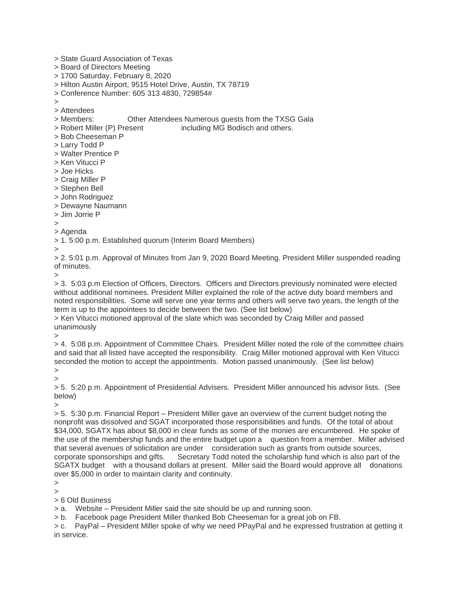- > State Guard Association of Texas
- > Board of Directors Meeting
- > 1700 Saturday, February 8, 2020
- > Hilton Austin Airport, 9515 Hotel Drive, Austin, TX 78719
- > Conference Number: 605 313 4830, 729854#
- $\overline{\phantom{a}}$
- > Attendees
- > Members: Other Attendees Numerous guests from the TXSG Gala
- > Robert Miller (P) Present including MG Bodisch and others.
- > Bob Cheeseman P
- > Larry Todd P
- > Walter Prentice P
- > Ken Vitucci P
- > Joe Hicks
- > Craig Miller P
- > Stephen Bell
- > John Rodriguez
- > Dewayne Naumann
- > Jim Jorrie P
- $\rightarrow$
- > Agenda

> 1. 5:00 p.m. Established quorum (Interim Board Members)

>

> 2. 5:01 p.m. Approval of Minutes from Jan 9, 2020 Board Meeting. President Miller suspended reading of minutes.

>

> 3. 5:03 p.m Election of Officers, Directors. Officers and Directors previously nominated were elected without additional nominees. President Miller explained the role of the active duty board members and noted responsibilities. Some will serve one year terms and others will serve two years, the length of the term is up to the appointees to decide between the two. (See list below)

> Ken Vitucci motioned approval of the slate which was seconded by Craig Miller and passed unanimously

>

> 4. 5:08 p.m. Appointment of Committee Chairs. President Miller noted the role of the committee chairs and said that all listed have accepted the responsibility. Craig Miller motioned approval with Ken Vitucci seconded the motion to accept the appointments. Motion passed unanimously. (See list below) >

>

> 5. 5:20 p.m. Appointment of Presidential Advisers. President Miller announced his advisor lists. (See below)

>

> 5. 5:30 p.m. Financial Report – President Miller gave an overview of the current budget noting the nonprofit was dissolved and SGAT incorporated those responsibilities and funds. Of the total of about \$34,000, SGATX has about \$8,000 in clear funds as some of the monies are encumbered. He spoke of the use of the membership funds and the entire budget upon a question from a member. Miller advised that several avenues of solicitation are under consideration such as grants from outside sources, corporate sponsorships and gifts. Secretary Todd noted the scholarship fund which is also part of the SGATX budget with a thousand dollars at present. Miller said the Board would approve all donations over \$5,000 in order to maintain clarity and continuity.

>

 $\overline{\phantom{a}}$ 

> 6 Old Business

> a. Website – President Miller said the site should be up and running soon.

> b. Facebook page President Miller thanked Bob Cheeseman for a great job on FB.

> c. PayPal – President Miller spoke of why we need PPayPal and he expressed frustration at getting it in service.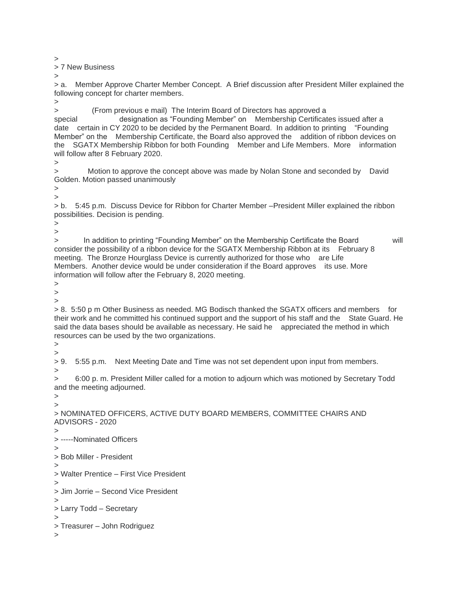>

> 7 New Business

>

> a. Member Approve Charter Member Concept. A Brief discussion after President Miller explained the following concept for charter members.

 $\overline{\phantom{a}}$ 

> (From previous e mail) The Interim Board of Directors has approved a

special designation as "Founding Member" on Membership Certificates issued after a date certain in CY 2020 to be decided by the Permanent Board. In addition to printing "Founding Member" on the Membership Certificate, the Board also approved the addition of ribbon devices on the SGATX Membership Ribbon for both Founding Member and Life Members. More information will follow after 8 February 2020.

>

> Motion to approve the concept above was made by Nolan Stone and seconded by David Golden. Motion passed unanimously

>

 $\overline{\phantom{a}}$ 

> b. 5:45 p.m. Discuss Device for Ribbon for Charter Member –President Miller explained the ribbon possibilities. Decision is pending.

> >

> In addition to printing "Founding Member" on the Membership Certificate the Board will consider the possibility of a ribbon device for the SGATX Membership Ribbon at its February 8 meeting. The Bronze Hourglass Device is currently authorized for those who are Life Members. Another device would be under consideration if the Board approves its use. More information will follow after the February 8, 2020 meeting.

>

>

>

> 8. 5:50 p m Other Business as needed. MG Bodisch thanked the SGATX officers and members for their work and he committed his continued support and the support of his staff and the State Guard. He said the data bases should be available as necessary. He said he appreciated the method in which resources can be used by the two organizations.

> >

> 9. 5:55 p.m. Next Meeting Date and Time was not set dependent upon input from members.

>

> 6:00 p. m. President Miller called for a motion to adjourn which was motioned by Secretary Todd and the meeting adjourned.

> >

> NOMINATED OFFICERS, ACTIVE DUTY BOARD MEMBERS, COMMITTEE CHAIRS AND ADVISORS - 2020

> > -----Nominated Officers

>

> Bob Miller - President

> > Walter Prentice – First Vice President

 $\overline{\phantom{a}}$ > Jim Jorrie – Second Vice President

>

```
> Larry Todd – Secretary
```
>

> Treasurer – John Rodriguez

>